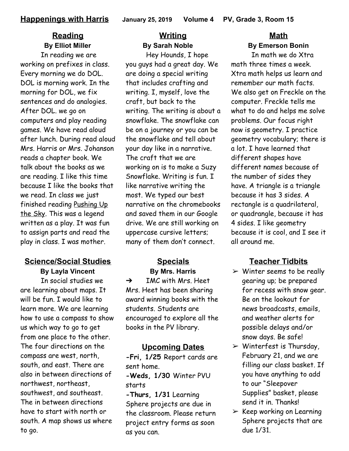## **Reading By Elliot Miller**

In reading we are working on prefixes in class. Every morning we do DOL. DOL is morning work. In the morning for DOL, we fix sentences and do analogies. After DOL. we go on computers and play reading games. We have read aloud after lunch. During read aloud Mrs. Harris or Mrs. Johanson reads a chapter book. We talk about the books as we are reading. I like this time because I like the books that we read. In class we just finished reading Pushing Up the Sky. This was a legend written as a play. It was fun to assign parts and read the play in class. I was mother.

## **Science/Social Studies**

**By Layla Vincent**

In social studies we are learning about maps. It will be fun. I would like to learn more. We are learning how to use a compass to show us which way to go to get from one place to the other. The four directions on the compass are west, north, south, and east. There are also in between directions of northwest, northeast, southwest, and southeast. The in between directions have to start with north or south. A map shows us where to go.

## **Writing By Sarah Noble**

Hey Hounds, I hope you guys had a great day. We are doing a special writing that includes crafting and writing. I, myself, love the craft, but back to the writing. The writing is about a snowflake. The snowflake can be on a journey or you can be the snowflake and tell about your day like in a narrative. The craft that we are working on is to make a Suzy Snowflake. Writing is fun. I like narrative writing the most. We typed our best narrative on the chromebooks and saved them in our Google drive. We are still working on uppercase cursive letters; many of them don't connect.

#### **Specials By Mrs. Harris**

 $\rightarrow$  IMC with Mrs. Heet Mrs. Heet has been sharing award winning books with the students. Students are encouraged to explore all the books in the PV library.

### **Upcoming Dates**

**-Fri, 1/25** Report cards are sent home.

**-Weds, 1/30** Winter PVU starts

**-Thurs, 1/31** Learning Sphere projects are due in the classroom. Please return project entry forms as soon as you can.

# **Math By Emerson Bonin**

In math we do Xtra math three times a week. Xtra math helps us learn and remember our math facts. We also get on Freckle on the computer. Freckle tells me what to do and helps me solve problems. Our focus right now is geometry. I practice geometry vocabulary; there is a lot. I have learned that different shapes have different names because of the number of sides they have. A triangle is a triangle because it has 3 sides. A rectangle is a quadrilateral, or quadrangle, because it has 4 sides. I like geometry because it is cool, and I see it all around me.

## **Teacher Tidbits**

- $\triangleright$  Winter seems to be really gearing up; be prepared for recess with snow gear. Be on the lookout for news broadcasts, emails, and weather alerts for possible delays and/or snow days. Be safe!
- $\triangleright$  Winterfest is Thursday, February 21, and we are filling our class basket. If you have anything to add to our "Sleepover Supplies" basket, please send it in. Thanks!
- $\triangleright$  Keep working on Learning Sphere projects that are due 1/31.